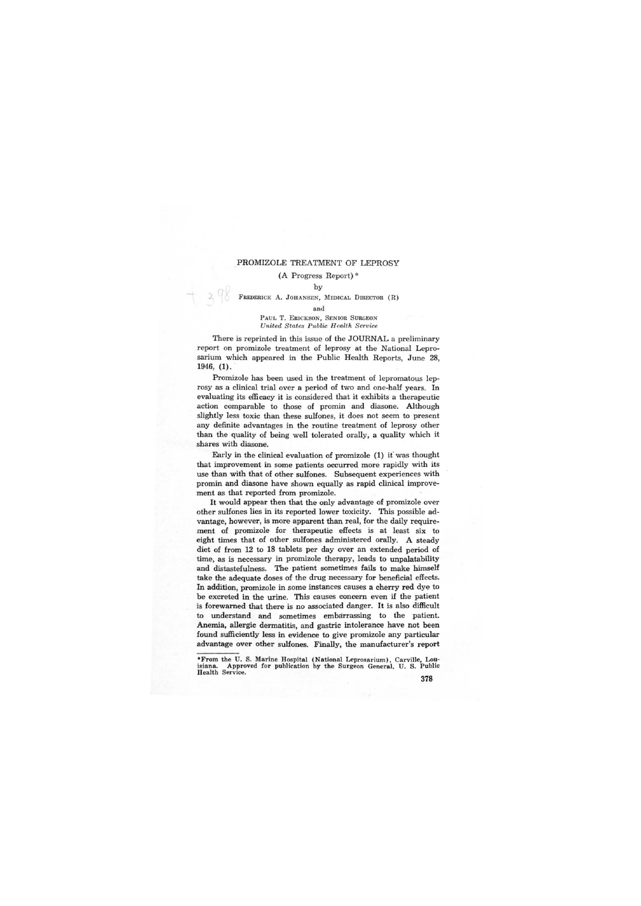## PROMIZOLE TREATMENT OF LEPROSY

## (A Progress Report) \*

## by

r )

FREDERICK A. JOHANSEN, MEDICAL DIRECTOR (R)

and

PAUL T. ERICKSON, SENIOR SURGEON *United States Public H ealth Service* 

There is reprinted in this issue of the JOURNAL a preliminary report on promizole treatment of leprosy at the National Leprosarium which appeared in the Public Health Reports, June 28, 1946, (1).

Promizole has been used in the treatment of lepromatous leprosy as a clinical trial over a period of two and one-half years. In evaluating its efficacy it is considered that it exhibits a therapeutic action comparable to those of promin and diasone. Although slightly less toxic than these sulfones, it does not seem to present any definite advantages in the routine treatment of leprosy other than the quality of being well tolerated orally, a quality which it shares with diasone.

Early in the clinical evaluation of promizole (1) if was thought that improvement in some patients occurred more rapidly with its use than with that of other sulfones. Subsequent experiences with promin and diasone have shown equally as rapid clinical improvement as that reported from promizole.

It would appear then that the only advantage of promizole over other sulfones lies in its reported lower toxicity. This possible advantage, however, is more apparent than real, for the daily requirement of promizole for therapeutic effects is at least six to eight times that of other sulfones administered orally. A steady diet of from 12 to 18 tablets per day over an extended period of time, as is necessary in promizole therapy, leads to unpalatability and distastefulness. The patient sometimes fails to make himself take the adequate doses of the drug necessary for beneficial effects. In addition, promizole in some instances causes a cherry red dye to be excreted in the urine. This causes concern even if the patient is forewarned that there is no associated danger. It is also difficult to understand and sometimes embarrassing to the patient. Anemia, allergic dermatitis, and gastric intolerance have not been found sufficiently less in evidence to give promizole any particular advantage over other sulfones. Finally, the manufacturer's report

<sup>\*</sup>From the U. S. Marine Hospital (National Leprosarium), Carville, Lou-Approved for publication by the Surgeon General, U. S. Public Health Service.